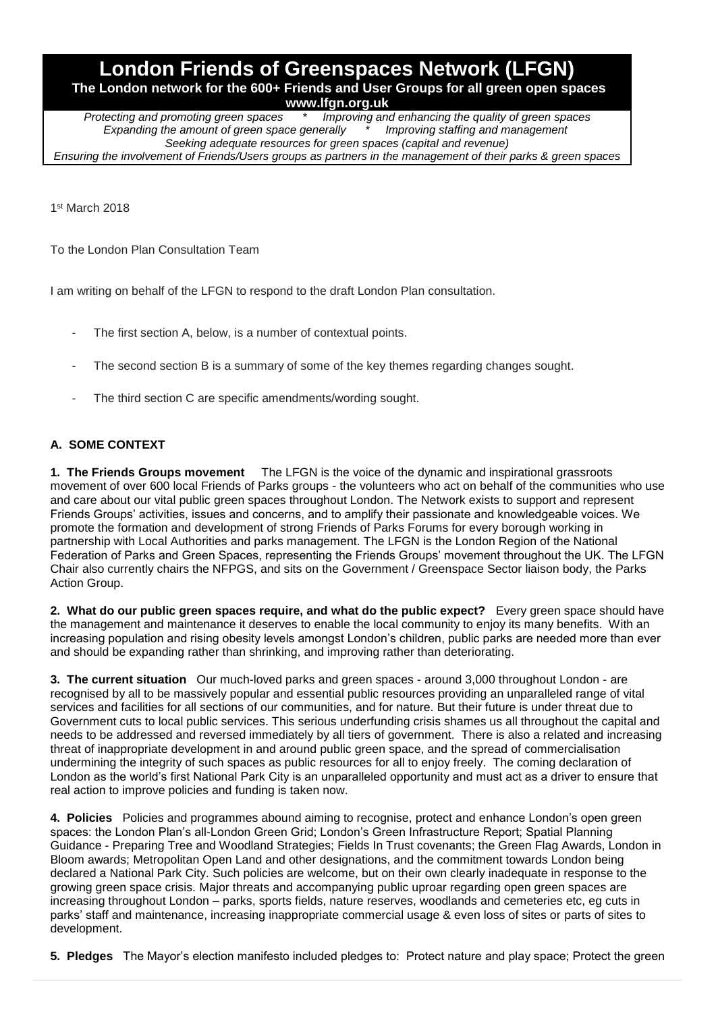# **London Friends of Greenspaces Network (LFGN) The London network for the 600+ Friends and User Groups for all green open spaces**

**www.lfgn.org.uk**<br>*Protecting and promoting green spaces* \* *Improving and Improving and enhancing the quality of green spaces Expanding the amount of green space generally \* Improving staffing and management Seeking adequate resources for green spaces (capital and revenue) Ensuring the involvement of Friends/Users groups as partners in the management of their parks & green spaces*

1 st March 2018

To the London Plan Consultation Team

I am writing on behalf of the LFGN to respond to the draft London Plan consultation.

- The first section A, below, is a number of contextual points.
- The second section B is a summary of some of the key themes regarding changes sought.
- The third section C are specific amendments/wording sought.

# **A. SOME CONTEXT**

**1. The Friends Groups movement** The LFGN is the voice of the dynamic and inspirational grassroots movement of over 600 local Friends of Parks groups - the volunteers who act on behalf of the communities who use and care about our vital public green spaces throughout London. The Network exists to support and represent Friends Groups' activities, issues and concerns, and to amplify their passionate and knowledgeable voices. We promote the formation and development of strong Friends of Parks Forums for every borough working in partnership with Local Authorities and parks management. The LFGN is the London Region of the National Federation of Parks and Green Spaces, representing the Friends Groups' movement throughout the UK. The LFGN Chair also currently chairs the NFPGS, and sits on the Government / Greenspace Sector liaison body, the Parks Action Group.

**2. What do our public green spaces require, and what do the public expect?** Every green space should have the management and maintenance it deserves to enable the local community to enjoy its many benefits. With an increasing population and rising obesity levels amongst London's children, public parks are needed more than ever and should be expanding rather than shrinking, and improving rather than deteriorating.

**3. The current situation** Our much-loved parks and green spaces - around 3,000 throughout London - are recognised by all to be massively popular and essential public resources providing an unparalleled range of vital services and facilities for all sections of our communities, and for nature. But their future is under threat due to Government cuts to local public services. This serious underfunding crisis shames us all throughout the capital and needs to be addressed and reversed immediately by all tiers of government. There is also a related and increasing threat of inappropriate development in and around public green space, and the spread of commercialisation undermining the integrity of such spaces as public resources for all to enjoy freely. The coming declaration of London as the world's first National Park City is an unparalleled opportunity and must act as a driver to ensure that real action to improve policies and funding is taken now.

**4. Policies** Policies and programmes abound aiming to recognise, protect and enhance London's open green spaces: the London Plan's all-London Green Grid; London's Green Infrastructure Report; Spatial Planning Guidance - Preparing Tree and Woodland Strategies; Fields In Trust covenants; the Green Flag Awards, London in Bloom awards; Metropolitan Open Land and other designations, and the commitment towards London being declared a National Park City. Such policies are welcome, but on their own clearly inadequate in response to the growing green space crisis. Major threats and accompanying public uproar regarding open green spaces are increasing throughout London – parks, sports fields, nature reserves, woodlands and cemeteries etc, eg cuts in parks' staff and maintenance, increasing inappropriate commercial usage & even loss of sites or parts of sites to development.

**5. Pledges** The Mayor's election manifesto included pledges to: Protect nature and play space; Protect the green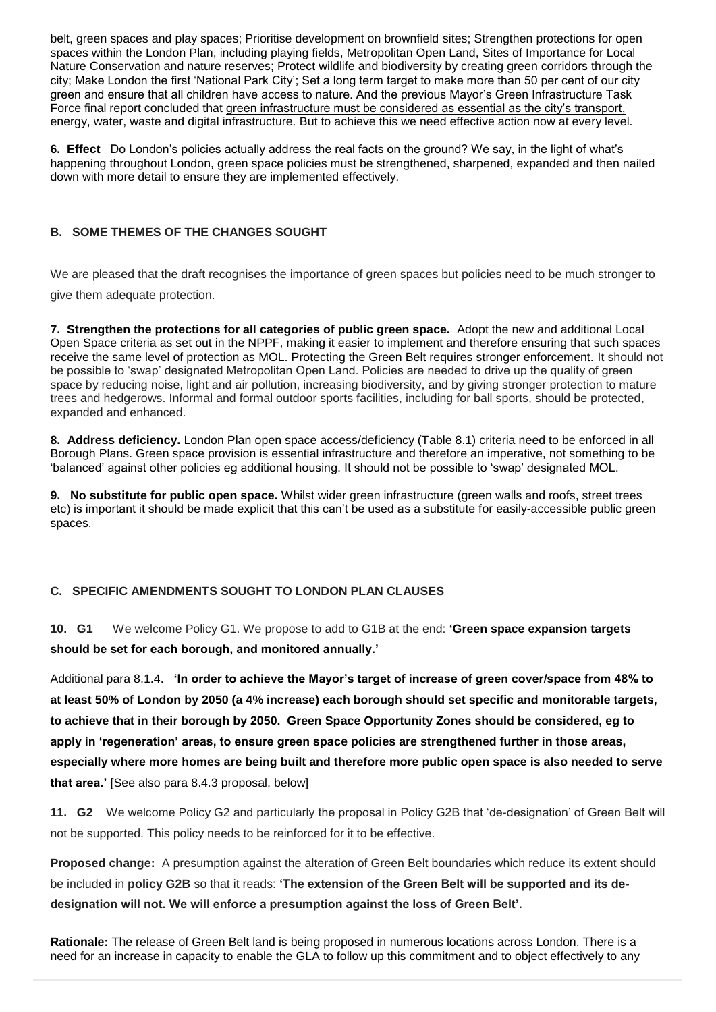belt, green spaces and play spaces; Prioritise development on brownfield sites; Strengthen protections for open spaces within the London Plan, including playing fields, Metropolitan Open Land, Sites of Importance for Local Nature Conservation and nature reserves; Protect wildlife and biodiversity by creating green corridors through the city; Make London the first 'National Park City'; Set a long term target to make more than 50 per cent of our city green and ensure that all children have access to nature. And the previous Mayor's Green Infrastructure Task Force final report concluded that green infrastructure must be considered as essential as the city's transport, energy, water, waste and digital infrastructure. But to achieve this we need effective action now at every level.

**6. Effect** Do London's policies actually address the real facts on the ground? We say, in the light of what's happening throughout London, green space policies must be strengthened, sharpened, expanded and then nailed down with more detail to ensure they are implemented effectively.

# **B. SOME THEMES OF THE CHANGES SOUGHT**

We are pleased that the draft recognises the importance of green spaces but policies need to be much stronger to give them adequate protection.

**7. Strengthen the protections for all categories of public green space.** Adopt the new and additional Local Open Space criteria as set out in the NPPF, making it easier to implement and therefore ensuring that such spaces receive the same level of protection as MOL. Protecting the Green Belt requires stronger enforcement. It should not be possible to 'swap' designated Metropolitan Open Land. Policies are needed to drive up the quality of green space by reducing noise, light and air pollution, increasing biodiversity, and by giving stronger protection to mature trees and hedgerows. Informal and formal outdoor sports facilities, including for ball sports, should be protected, expanded and enhanced.

**8. Address deficiency.** London Plan open space access/deficiency (Table 8.1) criteria need to be enforced in all Borough Plans. Green space provision is essential infrastructure and therefore an imperative, not something to be 'balanced' against other policies eg additional housing. It should not be possible to 'swap' designated MOL.

**9. No substitute for public open space.** Whilst wider green infrastructure (green walls and roofs, street trees etc) is important it should be made explicit that this can't be used as a substitute for easily-accessible public green spaces.

#### **C. SPECIFIC AMENDMENTS SOUGHT TO LONDON PLAN CLAUSES**

**10. G1** We welcome Policy G1. We propose to add to G1B at the end: **'Green space expansion targets should be set for each borough, and monitored annually.'**

Additional para 8.1.4. **'In order to achieve the Mayor's target of increase of green cover/space from 48% to at least 50% of London by 2050 (a 4% increase) each borough should set specific and monitorable targets, to achieve that in their borough by 2050. Green Space Opportunity Zones should be considered, eg to apply in 'regeneration' areas, to ensure green space policies are strengthened further in those areas, especially where more homes are being built and therefore more public open space is also needed to serve that area.'** [See also para 8.4.3 proposal, below]

**11. G2** We welcome Policy G2 and particularly the proposal in Policy G2B that 'de-designation' of Green Belt will not be supported. This policy needs to be reinforced for it to be effective.

**Proposed change:** A presumption against the alteration of Green Belt boundaries which reduce its extent should be included in **policy G2B** so that it reads: **'The extension of the Green Belt will be supported and its dedesignation will not. We will enforce a presumption against the loss of Green Belt'.**

**Rationale:** The release of Green Belt land is being proposed in numerous locations across London. There is a need for an increase in capacity to enable the GLA to follow up this commitment and to object effectively to any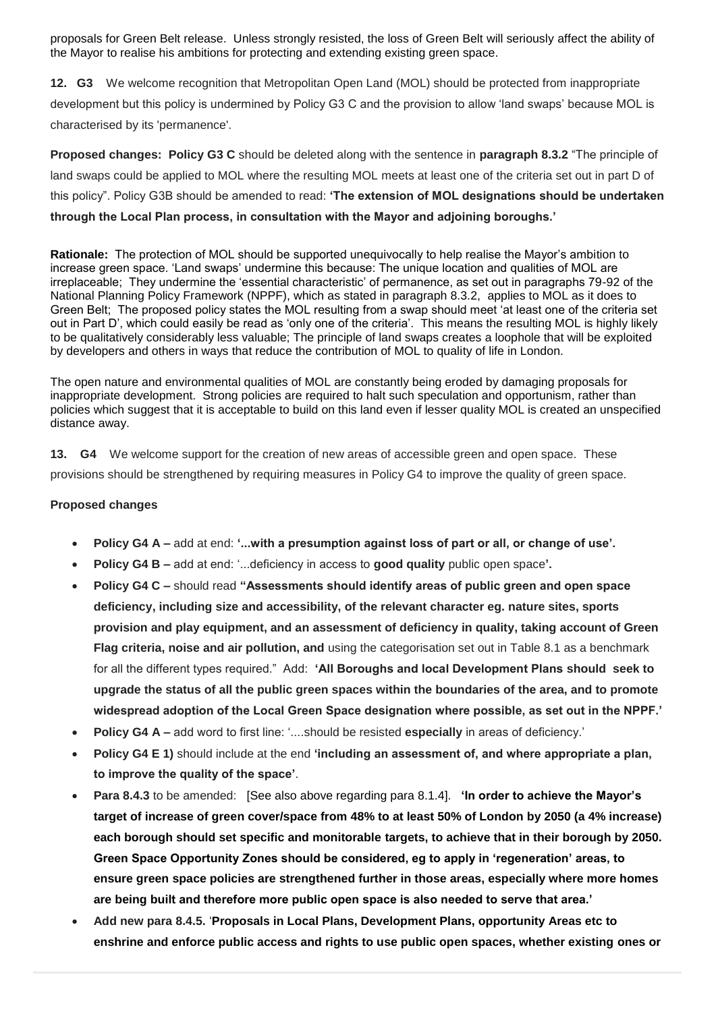proposals for Green Belt release. Unless strongly resisted, the loss of Green Belt will seriously affect the ability of the Mayor to realise his ambitions for protecting and extending existing green space.

**12. G3** We welcome recognition that Metropolitan Open Land (MOL) should be protected from inappropriate development but this policy is undermined by Policy G3 C and the provision to allow 'land swaps' because MOL is characterised by its 'permanence'.

**Proposed changes: Policy G3 C** should be deleted along with the sentence in **paragraph 8.3.2** "The principle of land swaps could be applied to MOL where the resulting MOL meets at least one of the criteria set out in part D of this policy". Policy G3B should be amended to read: **'The extension of MOL designations should be undertaken through the Local Plan process, in consultation with the Mayor and adjoining boroughs.'**

**Rationale:** The protection of MOL should be supported unequivocally to help realise the Mayor's ambition to increase green space. 'Land swaps' undermine this because: The unique location and qualities of MOL are irreplaceable; They undermine the 'essential characteristic' of permanence, as set out in paragraphs 79-92 of the National Planning Policy Framework (NPPF), which as stated in paragraph 8.3.2, applies to MOL as it does to Green Belt; The proposed policy states the MOL resulting from a swap should meet 'at least one of the criteria set out in Part D', which could easily be read as 'only one of the criteria'. This means the resulting MOL is highly likely to be qualitatively considerably less valuable; The principle of land swaps creates a loophole that will be exploited by developers and others in ways that reduce the contribution of MOL to quality of life in London.

The open nature and environmental qualities of MOL are constantly being eroded by damaging proposals for inappropriate development. Strong policies are required to halt such speculation and opportunism, rather than policies which suggest that it is acceptable to build on this land even if lesser quality MOL is created an unspecified distance away.

**13. G4** We welcome support for the creation of new areas of accessible green and open space. These provisions should be strengthened by requiring measures in Policy G4 to improve the quality of green space.

#### **Proposed changes**

- **Policy G4 A –** add at end: **'...with a presumption against loss of part or all, or change of use'.**
- **Policy G4 B –** add at end: '...deficiency in access to **good quality** public open space**'.**
- **Policy G4 C –** should read **"Assessments should identify areas of public green and open space deficiency, including size and accessibility, of the relevant character eg. nature sites, sports provision and play equipment, and an assessment of deficiency in quality, taking account of Green Flag criteria, noise and air pollution, and** using the categorisation set out in Table 8.1 as a benchmark for all the different types required." Add: **'All Boroughs and local Development Plans should seek to upgrade the status of all the public green spaces within the boundaries of the area, and to promote widespread adoption of the Local Green Space designation where possible, as set out in the NPPF.'**
- **Policy G4 A –** add word to first line: '....should be resisted **especially** in areas of deficiency.'
- **Policy G4 E 1)** should include at the end **'including an assessment of, and where appropriate a plan, to improve the quality of the space'**.
- **Para 8.4.3** to be amended: [See also above regarding para 8.1.4]. **'In order to achieve the Mayor's target of increase of green cover/space from 48% to at least 50% of London by 2050 (a 4% increase) each borough should set specific and monitorable targets, to achieve that in their borough by 2050. Green Space Opportunity Zones should be considered, eg to apply in 'regeneration' areas, to ensure green space policies are strengthened further in those areas, especially where more homes are being built and therefore more public open space is also needed to serve that area.'**
- **Add new para 8.4.5.** '**Proposals in Local Plans, Development Plans, opportunity Areas etc to enshrine and enforce public access and rights to use public open spaces, whether existing ones or**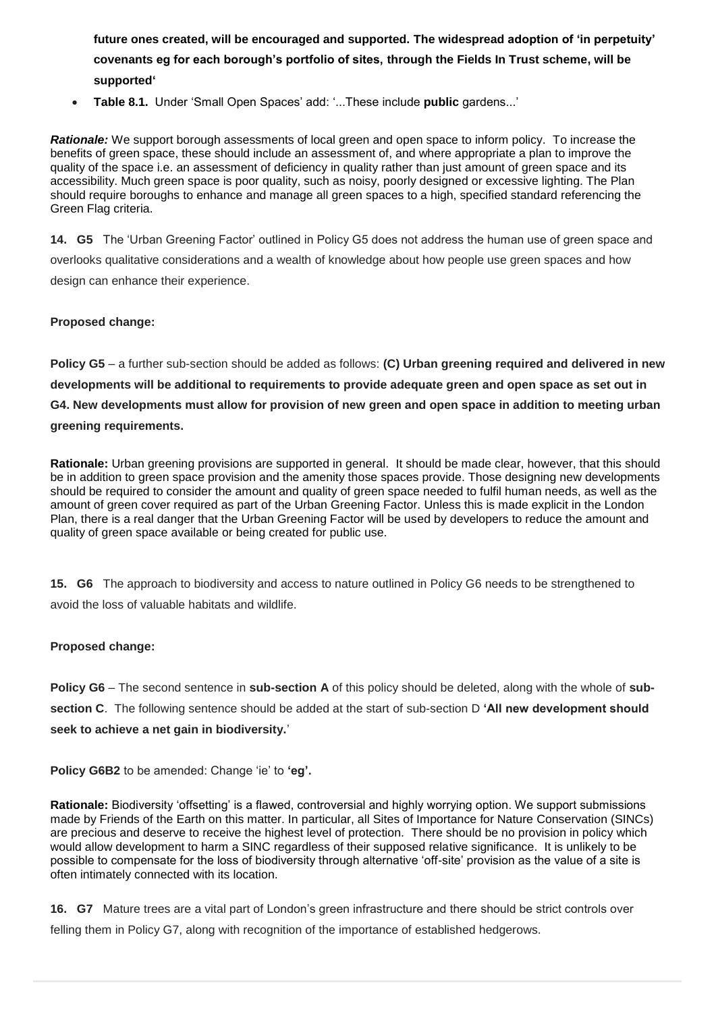**future ones created, will be encouraged and supported. The widespread adoption of 'in perpetuity' covenants eg for each borough's portfolio of sites, through the Fields In Trust scheme, will be supported'**

• **Table 8.1.** Under 'Small Open Spaces' add: '...These include **public** gardens...'

*Rationale:* We support borough assessments of local green and open space to inform policy. To increase the benefits of green space, these should include an assessment of, and where appropriate a plan to improve the quality of the space i.e. an assessment of deficiency in quality rather than just amount of green space and its accessibility. Much green space is poor quality, such as noisy, poorly designed or excessive lighting. The Plan should require boroughs to enhance and manage all green spaces to a high, specified standard referencing the Green Flag criteria.

**14. G5** The 'Urban Greening Factor' outlined in Policy G5 does not address the human use of green space and overlooks qualitative considerations and a wealth of knowledge about how people use green spaces and how design can enhance their experience.

#### **Proposed change:**

**Policy G5** – a further sub-section should be added as follows: **(C) Urban greening required and delivered in new developments will be additional to requirements to provide adequate green and open space as set out in G4. New developments must allow for provision of new green and open space in addition to meeting urban greening requirements.**

**Rationale:** Urban greening provisions are supported in general. It should be made clear, however, that this should be in addition to green space provision and the amenity those spaces provide. Those designing new developments should be required to consider the amount and quality of green space needed to fulfil human needs, as well as the amount of green cover required as part of the Urban Greening Factor. Unless this is made explicit in the London Plan, there is a real danger that the Urban Greening Factor will be used by developers to reduce the amount and quality of green space available or being created for public use.

**15. G6** The approach to biodiversity and access to nature outlined in Policy G6 needs to be strengthened to avoid the loss of valuable habitats and wildlife.

#### **Proposed change:**

**Policy G6** – The second sentence in **sub-section A** of this policy should be deleted, along with the whole of **subsection C**. The following sentence should be added at the start of sub-section D **'All new development should seek to achieve a net gain in biodiversity.**'

**Policy G6B2** to be amended: Change 'ie' to **'eg'.**

**Rationale:** Biodiversity 'offsetting' is a flawed, controversial and highly worrying option. We support submissions made by Friends of the Earth on this matter. In particular, all Sites of Importance for Nature Conservation (SINCs) are precious and deserve to receive the highest level of protection. There should be no provision in policy which would allow development to harm a SINC regardless of their supposed relative significance. It is unlikely to be possible to compensate for the loss of biodiversity through alternative 'off-site' provision as the value of a site is often intimately connected with its location.

**16. G7** Mature trees are a vital part of London's green infrastructure and there should be strict controls over felling them in Policy G7, along with recognition of the importance of established hedgerows.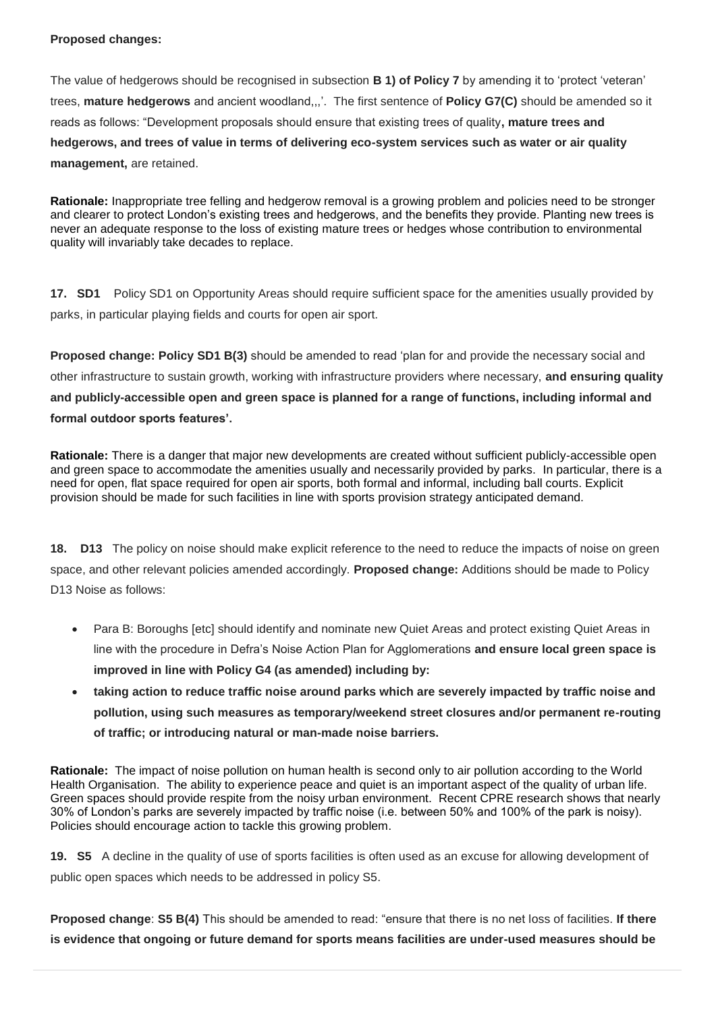### **Proposed changes:**

The value of hedgerows should be recognised in subsection **B 1) of Policy 7** by amending it to 'protect 'veteran' trees, **mature hedgerows** and ancient woodland,,,'. The first sentence of **Policy G7(C)** should be amended so it reads as follows: "Development proposals should ensure that existing trees of quality**, mature trees and hedgerows, and trees of value in terms of delivering eco-system services such as water or air quality management,** are retained.

**Rationale:** Inappropriate tree felling and hedgerow removal is a growing problem and policies need to be stronger and clearer to protect London's existing trees and hedgerows, and the benefits they provide. Planting new trees is never an adequate response to the loss of existing mature trees or hedges whose contribution to environmental quality will invariably take decades to replace.

**17. SD1** Policy SD1 on Opportunity Areas should require sufficient space for the amenities usually provided by parks, in particular playing fields and courts for open air sport.

**Proposed change: Policy SD1 B(3)** should be amended to read 'plan for and provide the necessary social and other infrastructure to sustain growth, working with infrastructure providers where necessary, **and ensuring quality and publicly-accessible open and green space is planned for a range of functions, including informal and formal outdoor sports features'.**

**Rationale:** There is a danger that major new developments are created without sufficient publicly-accessible open and green space to accommodate the amenities usually and necessarily provided by parks. In particular, there is a need for open, flat space required for open air sports, both formal and informal, including ball courts. Explicit provision should be made for such facilities in line with sports provision strategy anticipated demand.

**18. D13** The policy on noise should make explicit reference to the need to reduce the impacts of noise on green space, and other relevant policies amended accordingly. **Proposed change:** Additions should be made to Policy D13 Noise as follows:

- Para B: Boroughs [etc] should identify and nominate new Quiet Areas and protect existing Quiet Areas in line with the procedure in Defra's Noise Action Plan for Agglomerations **and ensure local green space is improved in line with Policy G4 (as amended) including by:**
- **taking action to reduce traffic noise around parks which are severely impacted by traffic noise and pollution, using such measures as temporary/weekend street closures and/or permanent re-routing of traffic; or introducing natural or man-made noise barriers.**

**Rationale:** The impact of noise pollution on human health is second only to air pollution according to the World Health Organisation. The ability to experience peace and quiet is an important aspect of the quality of urban life. Green spaces should provide respite from the noisy urban environment. Recent CPRE research shows that nearly 30% of London's parks are severely impacted by traffic noise (i.e. between 50% and 100% of the park is noisy). Policies should encourage action to tackle this growing problem.

**19. S5** A decline in the quality of use of sports facilities is often used as an excuse for allowing development of public open spaces which needs to be addressed in policy S5.

**Proposed change**: **S5 B(4)** This should be amended to read: "ensure that there is no net loss of facilities. **If there is evidence that ongoing or future demand for sports means facilities are under-used measures should be**